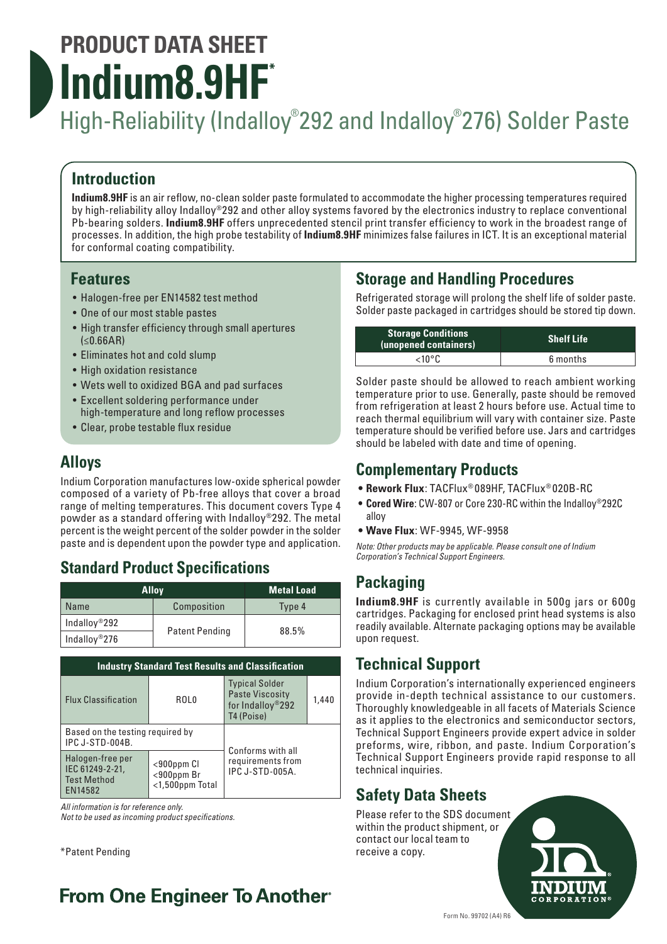# **PRODUCT DATA SHEET Indium8.9HF\***

# High-Reliability (Indalloy® 292 and Indalloy® 276) Solder Paste

#### **Introduction**

**Indium8.9HF** is an air reflow, no-clean solder paste formulated to accommodate the higher processing temperatures required by high-reliability alloy Indalloy®292 and other alloy systems favored by the electronics industry to replace conventional Pb-bearing solders. **Indium8.9HF** offers unprecedented stencil print transfer efficiency to work in the broadest range of processes. In addition, the high probe testability of **Indium8.9HF** minimizes false failures in ICT. It is an exceptional material for conformal coating compatibility.

#### **Features**

- Halogen-free per EN14582 test method
- One of our most stable pastes
- High transfer efficiency through small apertures (≤0.66AR)
- Eliminates hot and cold slump
- High oxidation resistance
- Wets well to oxidized BGA and pad surfaces
- Excellent soldering performance under high-temperature and long reflow processes
- Clear, probe testable flux residue

#### **Alloys**

Indium Corporation manufactures low-oxide spherical powder composed of a variety of Pb-free alloys that cover a broad range of melting temperatures. This document covers Type 4 powder as a standard offering with Indalloy®292. The metal percent is the weight percent of the solder powder in the solder paste and is dependent upon the powder type and application.

#### **Standard Product Specifications**

| <b>Alloy</b>              |                       | <b>Metal Load</b> |
|---------------------------|-----------------------|-------------------|
| Name                      | Composition           | Type 4            |
| Indallov <sup>®</sup> 292 |                       | 88.5%             |
| Indallov <sup>®</sup> 276 | <b>Patent Pending</b> |                   |

| <b>Industry Standard Test Results and Classification</b>             |                                                         |                                                                                   |       |  |  |
|----------------------------------------------------------------------|---------------------------------------------------------|-----------------------------------------------------------------------------------|-------|--|--|
| <b>Flux Classification</b>                                           | ROL <sub>0</sub>                                        | <b>Typical Solder</b><br><b>Paste Viscosity</b><br>for Indalloy®292<br>T4 (Poise) | 1,440 |  |  |
| Based on the testing required by<br><b>IPC J-STD-004B.</b>           |                                                         | Conforms with all                                                                 |       |  |  |
| Halogen-free per<br>IEC 61249-2-21,<br><b>Test Method</b><br>EN14582 | $<$ 900 $ppm$ Cl<br>$<$ 900ppm Br<br>$<$ 1,500ppm Total | requirements from<br><b>IPC J-STD-005A.</b>                                       |       |  |  |

*All information is for reference only.* 

*Not to be used as incoming product specifications.*

\*Patent Pending

## **From One Engineer To Another**

### **Storage and Handling Procedures**

Refrigerated storage will prolong the shelf life of solder paste. Solder paste packaged in cartridges should be stored tip down.

| <b>Storage Conditions</b><br>(unopened containers) | <b>Shelf Life</b> |  |
|----------------------------------------------------|-------------------|--|
| $<$ 10°C                                           | 6 months          |  |

Solder paste should be allowed to reach ambient working temperature prior to use. Generally, paste should be removed from refrigeration at least 2 hours before use. Actual time to reach thermal equilibrium will vary with container size. Paste temperature should be verified before use. Jars and cartridges should be labeled with date and time of opening.

#### **Complementary Products**

- **• Rework Flux**: TACFlux® 089HF, TACFlux® 020B-RC
- **• Cored Wire**: CW-807 or Core 230-RC within the Indalloy®292C alloy
- **• Wave Flux**: WF-9945, WF-9958

*Note: Other products may be applicable. Please consult one of Indium Corporation's Technical Support Engineers.*

#### **Packaging**

**Indium8.9HF** is currently available in 500g jars or 600g cartridges. Packaging for enclosed print head systems is also readily available. Alternate packaging options may be available upon request.

#### **Technical Support**

Indium Corporation's internationally experienced engineers provide in-depth technical assistance to our customers. Thoroughly knowledgeable in all facets of Materials Science as it applies to the electronics and semiconductor sectors, Technical Support Engineers provide expert advice in solder preforms, wire, ribbon, and paste. Indium Corporation's Technical Support Engineers provide rapid response to all technical inquiries.

## **Safety Data Sheets**

Please refer to the SDS document within the product shipment, or contact our local team to receive a copy.